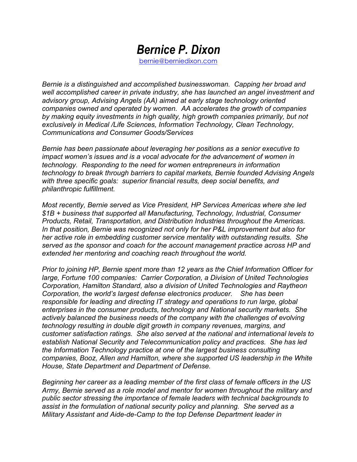## *Bernice P. Dixon* bernie@berniedixon.com

*Bernie is a distinguished and accomplished businesswoman. Capping her broad and well accomplished career in private industry, she has launched an angel investment and advisory group, Advising Angels (AA) aimed at early stage technology oriented companies owned and operated by women. AA accelerates the growth of companies by making equity investments in high quality, high growth companies primarily, but not exclusively in Medical /Life Sciences, Information Technology, Clean Technology, Communications and Consumer Goods/Services*

*Bernie has been passionate about leveraging her positions as a senior executive to impact women's issues and is a vocal advocate for the advancement of women in technology. Responding to the need for women entrepreneurs in information technology to break through barriers to capital markets, Bernie founded Advising Angels with three specific goals: superior financial results, deep social benefits, and philanthropic fulfillment.*

*Most recently, Bernie served as Vice President, HP Services Americas where she led \$1B + business that supported all Manufacturing, Technology, Industrial, Consumer Products, Retail, Transportation, and Distribution Industries throughout the Americas. In that position, Bernie was recognized not only for her P&L improvement but also for her active role in embedding customer service mentality with outstanding results. She served as the sponsor and coach for the account management practice across HP and extended her mentoring and coaching reach throughout the world.* 

*Prior to joining HP, Bernie spent more than 12 years as the Chief Information Officer for large, Fortune 100 companies: Carrier Corporation, a Division of United Technologies Corporation, Hamilton Standard, also a division of United Technologies and Raytheon Corporation, the world's largest defense electronics producer. She has been responsible for leading and directing IT strategy and operations to run large, global enterprises in the consumer products, technology and National security markets. She actively balanced the business needs of the company with the challenges of evolving technology resulting in double digit growth in company revenues, margins, and customer satisfaction ratings. She also served at the national and international levels to establish National Security and Telecommunication policy and practices. She has led the Information Technology practice at one of the largest business consulting companies, Booz, Allen and Hamilton, where she supported US leadership in the White House, State Department and Department of Defense.*

*Beginning her career as a leading member of the first class of female officers in the US Army, Bernie served as a role model and mentor for women throughout the military and public sector stressing the importance of female leaders with technical backgrounds to assist in the formulation of national security policy and planning. She served as a Military Assistant and Aide-de-Camp to the top Defense Department leader in*